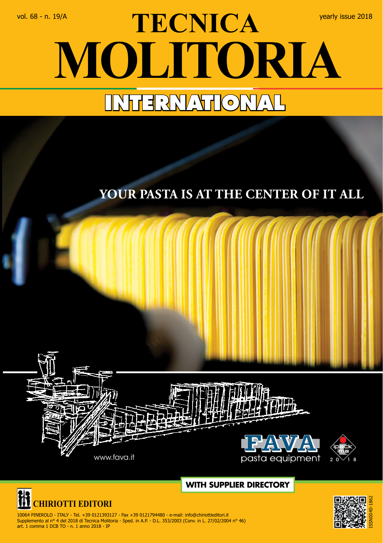## vol. 68 - n. 19/A **View Property CA** yearly issue 2018 **MOLITORIA INTERNATIONAL**

## **Your pasta is at the center of it all**







 10064 PINEROLO - ITALY - Tel. +39 0121393127 - Fax +39 0121794480 - e-mail: info@chiriottieditori.it Supplemento al n° 4 del 2018 di Tecnica Molitoria - Sped. in A.P. - D.L. 353/2003 (Conv. in L. 27/02/2004 n° 46) art. 1 comma 1 DCB TO - n. 1 anno 2018 - IP

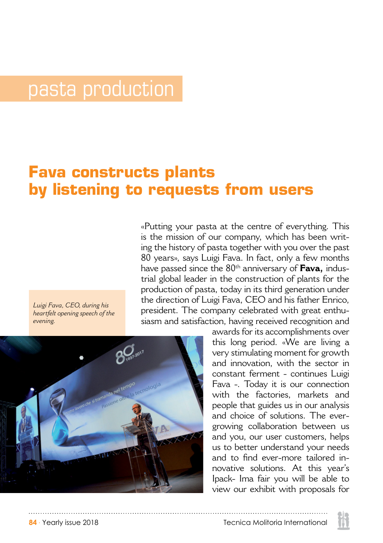## pasta production

## **Fava constructs plants by listening to requests from users**

«Putting your pasta at the centre of everything. This is the mission of our company, which has been writing the history of pasta together with you over the past 80 years», says Luigi Fava. In fact, only a few months have passed since the 80<sup>th</sup> anniversary of **Fava**, industrial global leader in the construction of plants for the production of pasta, today in its third generation under the direction of Luigi Fava, CEO and his father Enrico, president. The company celebrated with great enthusiasm and satisfaction, having received recognition and

*Luigi Fava, CEO, during his heartfelt opening speech of the evening.*



awards for its accomplishments over this long period. «We are living a very stimulating moment for growth and innovation, with the sector in constant ferment - continues Luigi Fava -. Today it is our connection with the factories, markets and people that guides us in our analysis and choice of solutions. The evergrowing collaboration between us and you, our user customers, helps us to better understand your needs and to find ever-more tailored innovative solutions. At this year's Ipack- Ima fair you will be able to view our exhibit with proposals for